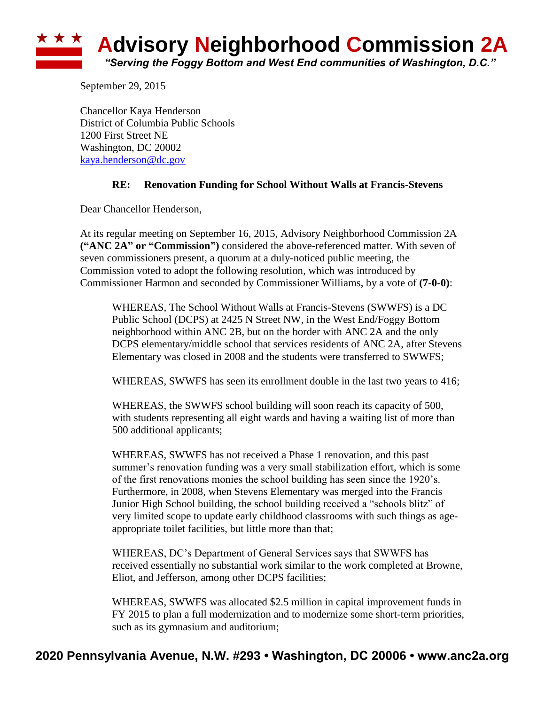

September 29, 2015

Chancellor Kaya Henderson District of Columbia Public Schools 1200 First Street NE Washington, DC 20002 [kaya.henderson@dc.gov](mailto:kaya.henderson@dc.gov)

## **RE: Renovation Funding for School Without Walls at Francis-Stevens**

Dear Chancellor Henderson,

At its regular meeting on September 16, 2015, Advisory Neighborhood Commission 2A **("ANC 2A" or "Commission")** considered the above-referenced matter. With seven of seven commissioners present, a quorum at a duly-noticed public meeting, the Commission voted to adopt the following resolution, which was introduced by Commissioner Harmon and seconded by Commissioner Williams, by a vote of **(7-0-0)**:

WHEREAS, The School Without Walls at Francis-Stevens (SWWFS) is a DC Public School (DCPS) at 2425 N Street NW, in the West End/Foggy Bottom neighborhood within ANC 2B, but on the border with ANC 2A and the only DCPS elementary/middle school that services residents of ANC 2A, after Stevens Elementary was closed in 2008 and the students were transferred to SWWFS;

WHEREAS, SWWFS has seen its enrollment double in the last two years to 416;

WHEREAS, the SWWFS school building will soon reach its capacity of 500, with students representing all eight wards and having a waiting list of more than 500 additional applicants;

WHEREAS, SWWFS has not received a Phase 1 renovation, and this past summer's renovation funding was a very small stabilization effort, which is some of the first renovations monies the school building has seen since the 1920's. Furthermore, in 2008, when Stevens Elementary was merged into the Francis Junior High School building, the school building received a "schools blitz" of very limited scope to update early childhood classrooms with such things as ageappropriate toilet facilities, but little more than that;

WHEREAS, DC's Department of General Services says that SWWFS has received essentially no substantial work similar to the work completed at Browne, Eliot, and Jefferson, among other DCPS facilities;

WHEREAS, SWWFS was allocated \$2.5 million in capital improvement funds in FY 2015 to plan a full modernization and to modernize some short-term priorities, such as its gymnasium and auditorium;